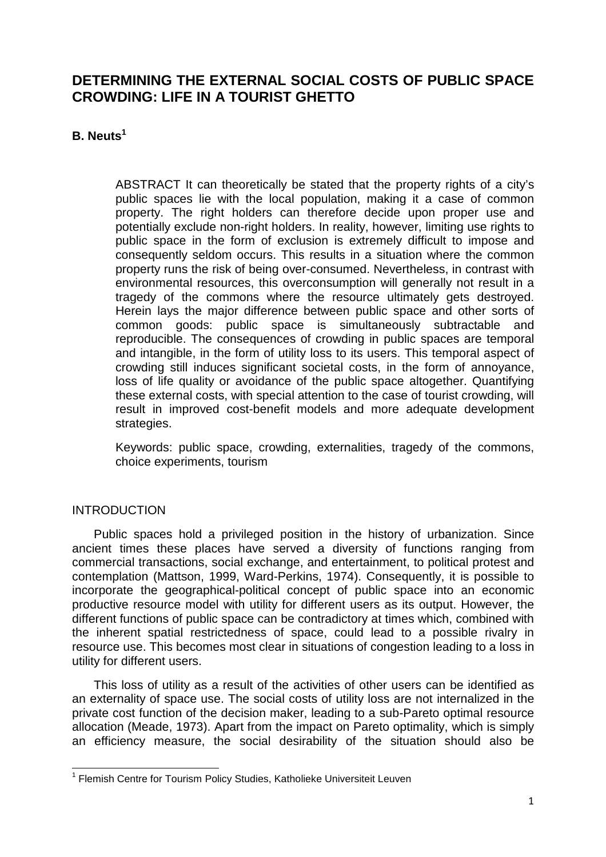# **DETERMINING THE EXTERNAL SOCIAL COSTS OF PUBLIC SPACE CROWDING: LIFE IN A TOURIST GHETTO**

# **B. Neuts<sup>1</sup>**

ABSTRACT It can theoretically be stated that the property rights of a city's public spaces lie with the local population, making it a case of common property. The right holders can therefore decide upon proper use and potentially exclude non-right holders. In reality, however, limiting use rights to public space in the form of exclusion is extremely difficult to impose and consequently seldom occurs. This results in a situation where the common property runs the risk of being over-consumed. Nevertheless, in contrast with environmental resources, this overconsumption will generally not result in a tragedy of the commons where the resource ultimately gets destroyed. Herein lays the major difference between public space and other sorts of common goods: public space is simultaneously subtractable and reproducible. The consequences of crowding in public spaces are temporal and intangible, in the form of utility loss to its users. This temporal aspect of crowding still induces significant societal costs, in the form of annoyance, loss of life quality or avoidance of the public space altogether. Quantifying these external costs, with special attention to the case of tourist crowding, will result in improved cost-benefit models and more adequate development strategies.

Keywords: public space, crowding, externalities, tragedy of the commons, choice experiments, tourism

# INTRODUCTION

Public spaces hold a privileged position in the history of urbanization. Since ancient times these places have served a diversity of functions ranging from commercial transactions, social exchange, and entertainment, to political protest and contemplation (Mattson, 1999, Ward-Perkins, 1974). Consequently, it is possible to incorporate the geographical-political concept of public space into an economic productive resource model with utility for different users as its output. However, the different functions of public space can be contradictory at times which, combined with the inherent spatial restrictedness of space, could lead to a possible rivalry in resource use. This becomes most clear in situations of congestion leading to a loss in utility for different users.

This loss of utility as a result of the activities of other users can be identified as an externality of space use. The social costs of utility loss are not internalized in the private cost function of the decision maker, leading to a sub-Pareto optimal resource allocation (Meade, 1973). Apart from the impact on Pareto optimality, which is simply an efficiency measure, the social desirability of the situation should also be

 1 Flemish Centre for Tourism Policy Studies, Katholieke Universiteit Leuven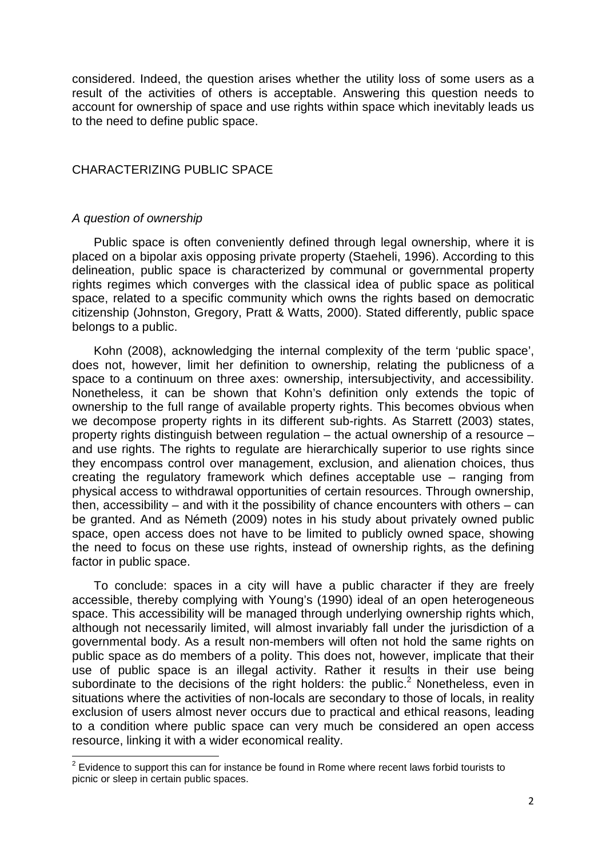considered. Indeed, the question arises whether the utility loss of some users as a result of the activities of others is acceptable. Answering this question needs to account for ownership of space and use rights within space which inevitably leads us to the need to define public space.

## CHARACTERIZING PUBLIC SPACE

### A question of ownership

 $\overline{a}$ 

Public space is often conveniently defined through legal ownership, where it is placed on a bipolar axis opposing private property (Staeheli, 1996). According to this delineation, public space is characterized by communal or governmental property rights regimes which converges with the classical idea of public space as political space, related to a specific community which owns the rights based on democratic citizenship (Johnston, Gregory, Pratt & Watts, 2000). Stated differently, public space belongs to a public.

Kohn (2008), acknowledging the internal complexity of the term 'public space', does not, however, limit her definition to ownership, relating the publicness of a space to a continuum on three axes: ownership, intersubjectivity, and accessibility. Nonetheless, it can be shown that Kohn's definition only extends the topic of ownership to the full range of available property rights. This becomes obvious when we decompose property rights in its different sub-rights. As Starrett (2003) states, property rights distinguish between regulation – the actual ownership of a resource – and use rights. The rights to regulate are hierarchically superior to use rights since they encompass control over management, exclusion, and alienation choices, thus creating the regulatory framework which defines acceptable use – ranging from physical access to withdrawal opportunities of certain resources. Through ownership, then, accessibility – and with it the possibility of chance encounters with others – can be granted. And as Németh (2009) notes in his study about privately owned public space, open access does not have to be limited to publicly owned space, showing the need to focus on these use rights, instead of ownership rights, as the defining factor in public space.

To conclude: spaces in a city will have a public character if they are freely accessible, thereby complying with Young's (1990) ideal of an open heterogeneous space. This accessibility will be managed through underlying ownership rights which, although not necessarily limited, will almost invariably fall under the jurisdiction of a governmental body. As a result non-members will often not hold the same rights on public space as do members of a polity. This does not, however, implicate that their use of public space is an illegal activity. Rather it results in their use being subordinate to the decisions of the right holders: the public. $2$  Nonetheless, even in situations where the activities of non-locals are secondary to those of locals, in reality exclusion of users almost never occurs due to practical and ethical reasons, leading to a condition where public space can very much be considered an open access resource, linking it with a wider economical reality.

 $2$  Evidence to support this can for instance be found in Rome where recent laws forbid tourists to picnic or sleep in certain public spaces.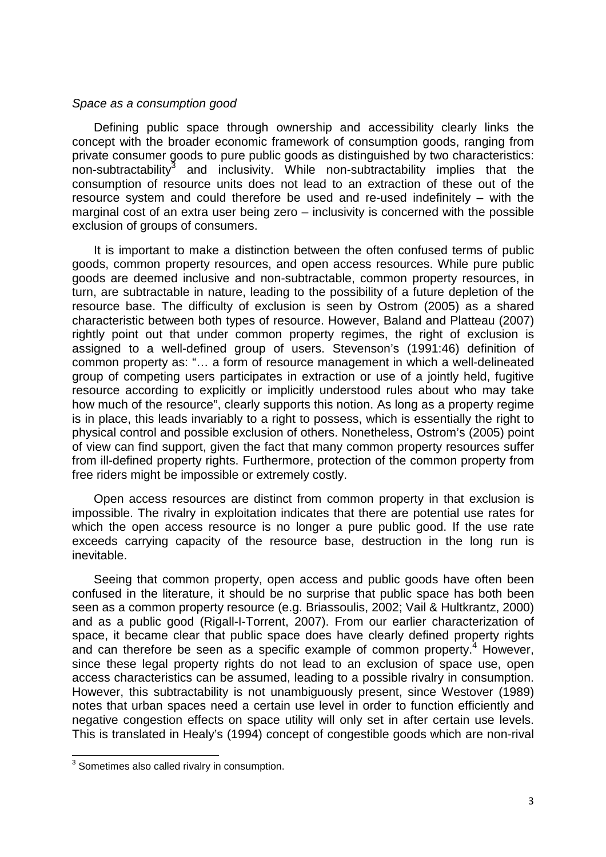#### Space as a consumption good

Defining public space through ownership and accessibility clearly links the concept with the broader economic framework of consumption goods, ranging from private consumer goods to pure public goods as distinguished by two characteristics: non-subtractability<sup>3</sup> and inclusivity. While non-subtractability implies that the consumption of resource units does not lead to an extraction of these out of the resource system and could therefore be used and re-used indefinitely – with the marginal cost of an extra user being zero – inclusivity is concerned with the possible exclusion of groups of consumers.

It is important to make a distinction between the often confused terms of public goods, common property resources, and open access resources. While pure public goods are deemed inclusive and non-subtractable, common property resources, in turn, are subtractable in nature, leading to the possibility of a future depletion of the resource base. The difficulty of exclusion is seen by Ostrom (2005) as a shared characteristic between both types of resource. However, Baland and Platteau (2007) rightly point out that under common property regimes, the right of exclusion is assigned to a well-defined group of users. Stevenson's (1991:46) definition of common property as: "… a form of resource management in which a well-delineated group of competing users participates in extraction or use of a jointly held, fugitive resource according to explicitly or implicitly understood rules about who may take how much of the resource", clearly supports this notion. As long as a property regime is in place, this leads invariably to a right to possess, which is essentially the right to physical control and possible exclusion of others. Nonetheless, Ostrom's (2005) point of view can find support, given the fact that many common property resources suffer from ill-defined property rights. Furthermore, protection of the common property from free riders might be impossible or extremely costly.

Open access resources are distinct from common property in that exclusion is impossible. The rivalry in exploitation indicates that there are potential use rates for which the open access resource is no longer a pure public good. If the use rate exceeds carrying capacity of the resource base, destruction in the long run is inevitable.

Seeing that common property, open access and public goods have often been confused in the literature, it should be no surprise that public space has both been seen as a common property resource (e.g. Briassoulis, 2002; Vail & Hultkrantz, 2000) and as a public good (Rigall-I-Torrent, 2007). From our earlier characterization of space, it became clear that public space does have clearly defined property rights and can therefore be seen as a specific example of common property.<sup>4</sup> However, since these legal property rights do not lead to an exclusion of space use, open access characteristics can be assumed, leading to a possible rivalry in consumption. However, this subtractability is not unambiguously present, since Westover (1989) notes that urban spaces need a certain use level in order to function efficiently and negative congestion effects on space utility will only set in after certain use levels. This is translated in Healy's (1994) concept of congestible goods which are non-rival

 3 Sometimes also called rivalry in consumption.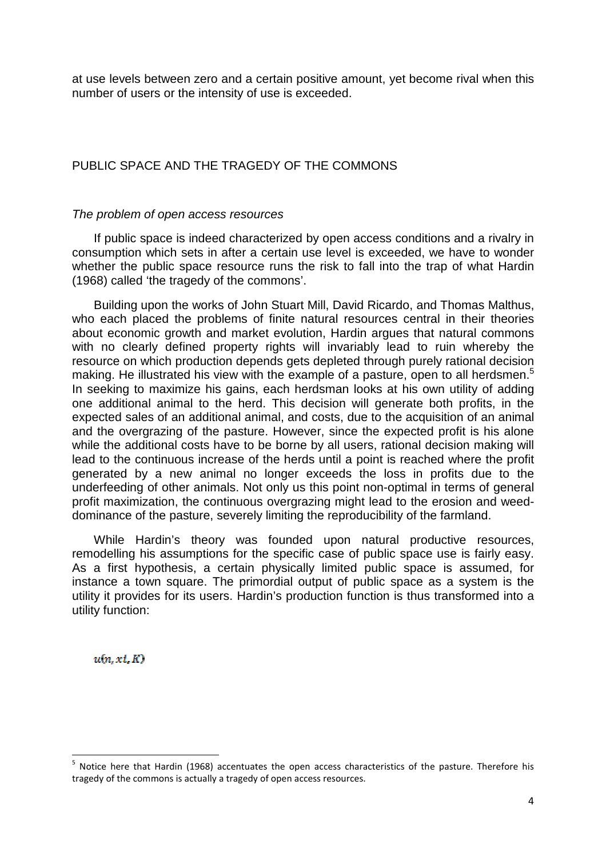at use levels between zero and a certain positive amount, yet become rival when this number of users or the intensity of use is exceeded.

# PUBLIC SPACE AND THE TRAGEDY OF THE COMMONS

### The problem of open access resources

 If public space is indeed characterized by open access conditions and a rivalry in consumption which sets in after a certain use level is exceeded, we have to wonder whether the public space resource runs the risk to fall into the trap of what Hardin (1968) called 'the tragedy of the commons'.

 Building upon the works of John Stuart Mill, David Ricardo, and Thomas Malthus, who each placed the problems of finite natural resources central in their theories about economic growth and market evolution, Hardin argues that natural commons with no clearly defined property rights will invariably lead to ruin whereby the resource on which production depends gets depleted through purely rational decision making. He illustrated his view with the example of a pasture, open to all herdsmen.<sup>5</sup> In seeking to maximize his gains, each herdsman looks at his own utility of adding one additional animal to the herd. This decision will generate both profits, in the expected sales of an additional animal, and costs, due to the acquisition of an animal and the overgrazing of the pasture. However, since the expected profit is his alone while the additional costs have to be borne by all users, rational decision making will lead to the continuous increase of the herds until a point is reached where the profit generated by a new animal no longer exceeds the loss in profits due to the underfeeding of other animals. Not only us this point non-optimal in terms of general profit maximization, the continuous overgrazing might lead to the erosion and weeddominance of the pasture, severely limiting the reproducibility of the farmland.

While Hardin's theory was founded upon natural productive resources, remodelling his assumptions for the specific case of public space use is fairly easy. As a first hypothesis, a certain physically limited public space is assumed, for instance a town square. The primordial output of public space as a system is the utility it provides for its users. Hardin's production function is thus transformed into a utility function:

 $u(n, xi, K)$ 

<sup>&</sup>lt;sup>5</sup> Notice here that Hardin (1968) accentuates the open access characteristics of the pasture. Therefore his tragedy of the commons is actually a tragedy of open access resources.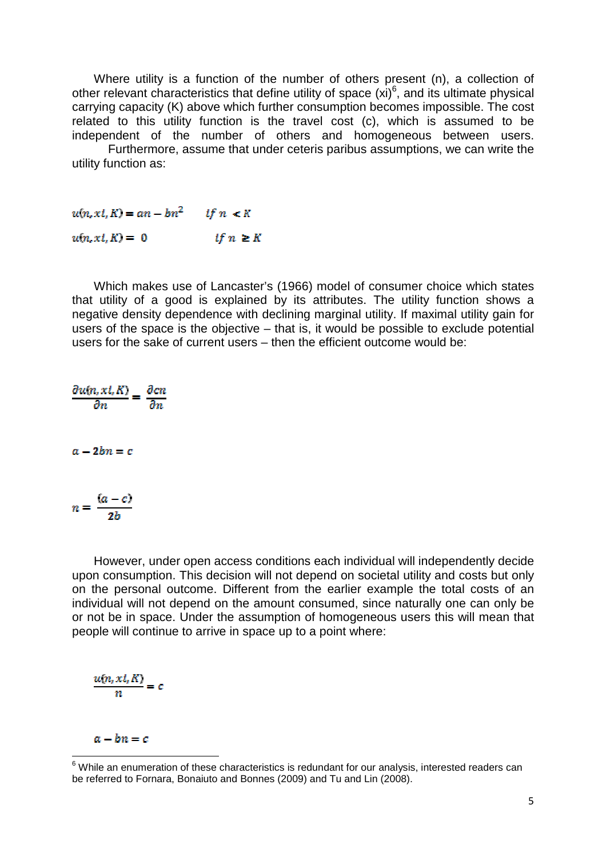Where utility is a function of the number of others present (n), a collection of other relevant characteristics that define utility of space  $(xi)^6$ , and its ultimate physical carrying capacity (K) above which further consumption becomes impossible. The cost related to this utility function is the travel cost (c), which is assumed to be independent of the number of others and homogeneous between users.

 Furthermore, assume that under ceteris paribus assumptions, we can write the utility function as:

 $u(n, xi, K) = an - bn^2$  if  $n \leq K$ if  $n \geq K$  $u(n, xi, K) = 0$ 

Which makes use of Lancaster's (1966) model of consumer choice which states that utility of a good is explained by its attributes. The utility function shows a negative density dependence with declining marginal utility. If maximal utility gain for users of the space is the objective – that is, it would be possible to exclude potential users for the sake of current users – then the efficient outcome would be:

 $\frac{\partial u(n,xt,K)}{\partial n} = \frac{\partial cn}{\partial n}$  $a - 2bn = c$  $n = \frac{(a-c)}{2h}$ 

However, under open access conditions each individual will independently decide upon consumption. This decision will not depend on societal utility and costs but only on the personal outcome. Different from the earlier example the total costs of an individual will not depend on the amount consumed, since naturally one can only be or not be in space. Under the assumption of homogeneous users this will mean that people will continue to arrive in space up to a point where:

$$
\frac{u(n,xt,K)}{n}=c
$$

 $a - bn = c$ 

 $\overline{a}$ 

 $6$  While an enumeration of these characteristics is redundant for our analysis, interested readers can be referred to Fornara, Bonaiuto and Bonnes (2009) and Tu and Lin (2008).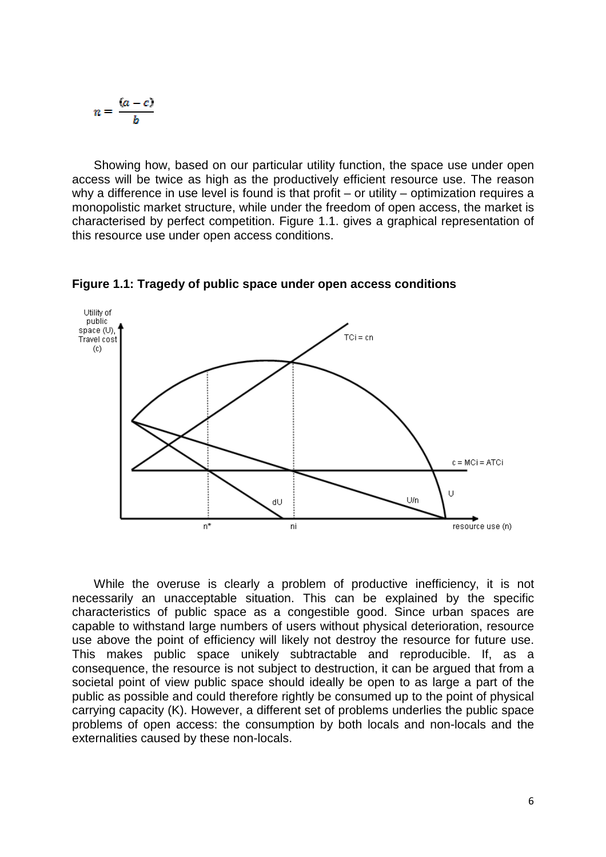$$
n=\frac{(a-c)}{b}
$$

Showing how, based on our particular utility function, the space use under open access will be twice as high as the productively efficient resource use. The reason why a difference in use level is found is that profit – or utility – optimization requires a monopolistic market structure, while under the freedom of open access, the market is characterised by perfect competition. Figure 1.1. gives a graphical representation of this resource use under open access conditions.



**Figure 1.1: Tragedy of public space under open access conditions** 

While the overuse is clearly a problem of productive inefficiency, it is not necessarily an unacceptable situation. This can be explained by the specific characteristics of public space as a congestible good. Since urban spaces are capable to withstand large numbers of users without physical deterioration, resource use above the point of efficiency will likely not destroy the resource for future use. This makes public space unikely subtractable and reproducible. If, as a consequence, the resource is not subject to destruction, it can be argued that from a societal point of view public space should ideally be open to as large a part of the public as possible and could therefore rightly be consumed up to the point of physical carrying capacity (K). However, a different set of problems underlies the public space problems of open access: the consumption by both locals and non-locals and the externalities caused by these non-locals.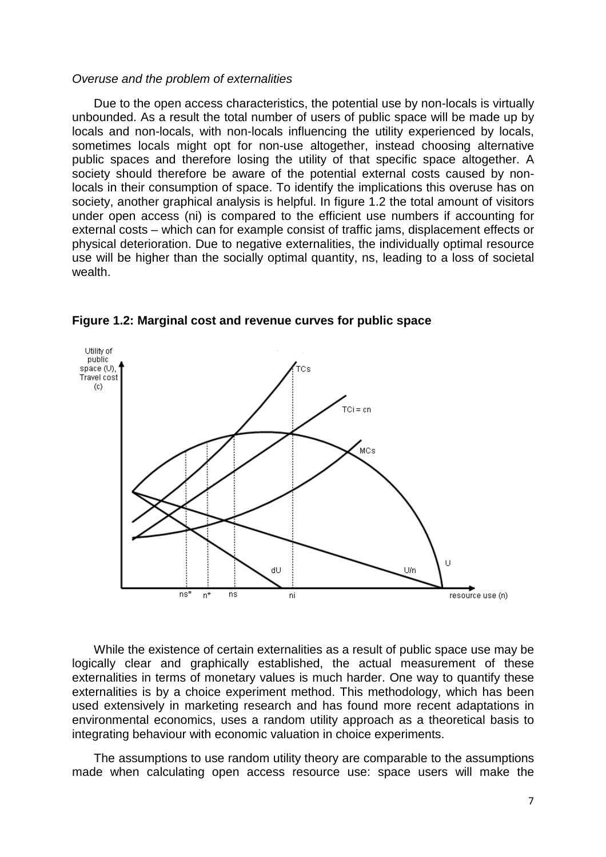#### Overuse and the problem of externalities

Due to the open access characteristics, the potential use by non-locals is virtually unbounded. As a result the total number of users of public space will be made up by locals and non-locals, with non-locals influencing the utility experienced by locals, sometimes locals might opt for non-use altogether, instead choosing alternative public spaces and therefore losing the utility of that specific space altogether. A society should therefore be aware of the potential external costs caused by nonlocals in their consumption of space. To identify the implications this overuse has on society, another graphical analysis is helpful. In figure 1.2 the total amount of visitors under open access (ni) is compared to the efficient use numbers if accounting for external costs – which can for example consist of traffic jams, displacement effects or physical deterioration. Due to negative externalities, the individually optimal resource use will be higher than the socially optimal quantity, ns, leading to a loss of societal wealth.



**Figure 1.2: Marginal cost and revenue curves for public space** 

 While the existence of certain externalities as a result of public space use may be logically clear and graphically established, the actual measurement of these externalities in terms of monetary values is much harder. One way to quantify these externalities is by a choice experiment method. This methodology, which has been used extensively in marketing research and has found more recent adaptations in environmental economics, uses a random utility approach as a theoretical basis to integrating behaviour with economic valuation in choice experiments.

 The assumptions to use random utility theory are comparable to the assumptions made when calculating open access resource use: space users will make the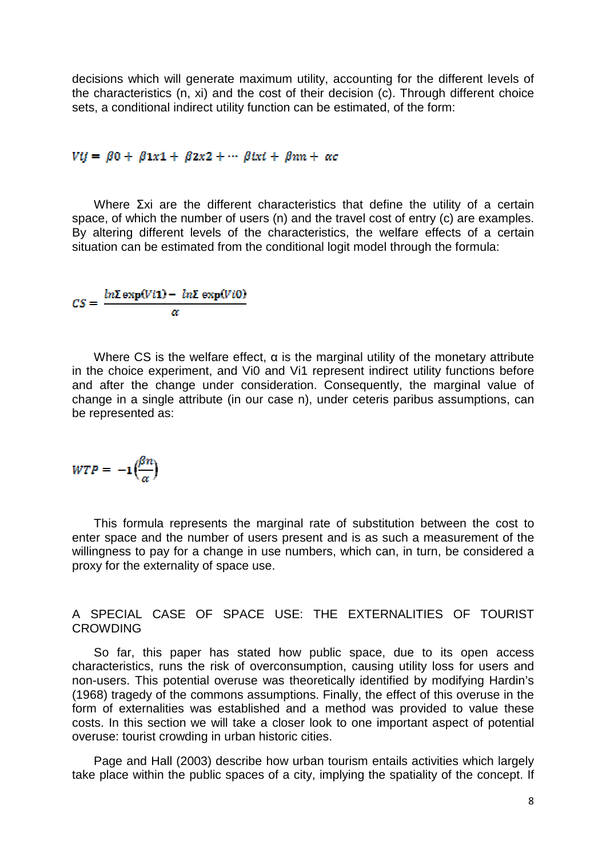decisions which will generate maximum utility, accounting for the different levels of the characteristics (n, xi) and the cost of their decision (c). Through different choice sets, a conditional indirect utility function can be estimated, of the form:

# $Vij = \beta 0 + \beta 1x^2 + \beta 2x^2 + \cdots \beta i x^i + \beta n^i + \alpha c$

 Where Σxi are the different characteristics that define the utility of a certain space, of which the number of users (n) and the travel cost of entry (c) are examples. By altering different levels of the characteristics, the welfare effects of a certain situation can be estimated from the conditional logit model through the formula:

$$
CS = \frac{\ln \Sigma \exp(V\ell 1) - \ln \Sigma \exp(V\ell 0)}{\alpha}
$$

Where CS is the welfare effect,  $\alpha$  is the marginal utility of the monetary attribute in the choice experiment, and Vi0 and Vi1 represent indirect utility functions before and after the change under consideration. Consequently, the marginal value of change in a single attribute (in our case n), under ceteris paribus assumptions, can be represented as:

$$
WTP = -1\Big(\frac{\beta n}{\alpha}\Big)
$$

 This formula represents the marginal rate of substitution between the cost to enter space and the number of users present and is as such a measurement of the willingness to pay for a change in use numbers, which can, in turn, be considered a proxy for the externality of space use.

# A SPECIAL CASE OF SPACE USE: THE EXTERNALITIES OF TOURIST CROWDING

So far, this paper has stated how public space, due to its open access characteristics, runs the risk of overconsumption, causing utility loss for users and non-users. This potential overuse was theoretically identified by modifying Hardin's (1968) tragedy of the commons assumptions. Finally, the effect of this overuse in the form of externalities was established and a method was provided to value these costs. In this section we will take a closer look to one important aspect of potential overuse: tourist crowding in urban historic cities.

Page and Hall (2003) describe how urban tourism entails activities which largely take place within the public spaces of a city, implying the spatiality of the concept. If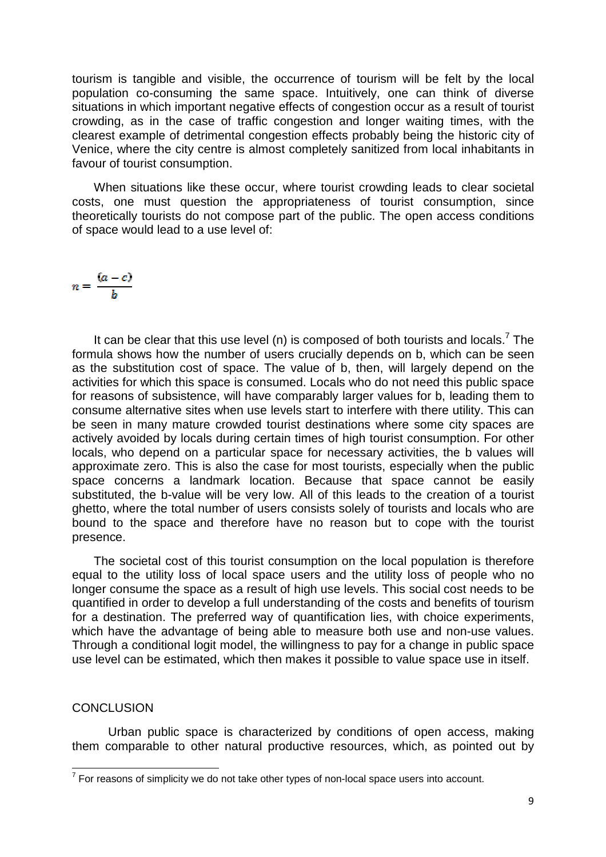tourism is tangible and visible, the occurrence of tourism will be felt by the local population co-consuming the same space. Intuitively, one can think of diverse situations in which important negative effects of congestion occur as a result of tourist crowding, as in the case of traffic congestion and longer waiting times, with the clearest example of detrimental congestion effects probably being the historic city of Venice, where the city centre is almost completely sanitized from local inhabitants in favour of tourist consumption.

When situations like these occur, where tourist crowding leads to clear societal costs, one must question the appropriateness of tourist consumption, since theoretically tourists do not compose part of the public. The open access conditions of space would lead to a use level of:

$$
n=\frac{(a-c)}{b}
$$

It can be clear that this use level (n) is composed of both tourists and locals.<sup>7</sup> The formula shows how the number of users crucially depends on b, which can be seen as the substitution cost of space. The value of b, then, will largely depend on the activities for which this space is consumed. Locals who do not need this public space for reasons of subsistence, will have comparably larger values for b, leading them to consume alternative sites when use levels start to interfere with there utility. This can be seen in many mature crowded tourist destinations where some city spaces are actively avoided by locals during certain times of high tourist consumption. For other locals, who depend on a particular space for necessary activities, the b values will approximate zero. This is also the case for most tourists, especially when the public space concerns a landmark location. Because that space cannot be easily substituted, the b-value will be very low. All of this leads to the creation of a tourist ghetto, where the total number of users consists solely of tourists and locals who are bound to the space and therefore have no reason but to cope with the tourist presence.

 The societal cost of this tourist consumption on the local population is therefore equal to the utility loss of local space users and the utility loss of people who no longer consume the space as a result of high use levels. This social cost needs to be quantified in order to develop a full understanding of the costs and benefits of tourism for a destination. The preferred way of quantification lies, with choice experiments, which have the advantage of being able to measure both use and non-use values. Through a conditional logit model, the willingness to pay for a change in public space use level can be estimated, which then makes it possible to value space use in itself.

### **CONCLUSION**

 Urban public space is characterized by conditions of open access, making them comparable to other natural productive resources, which, as pointed out by

<sup>————————————————————&</sup>lt;br><sup>7</sup> For reasons of simplicity we do not take other types of non-local space users into account.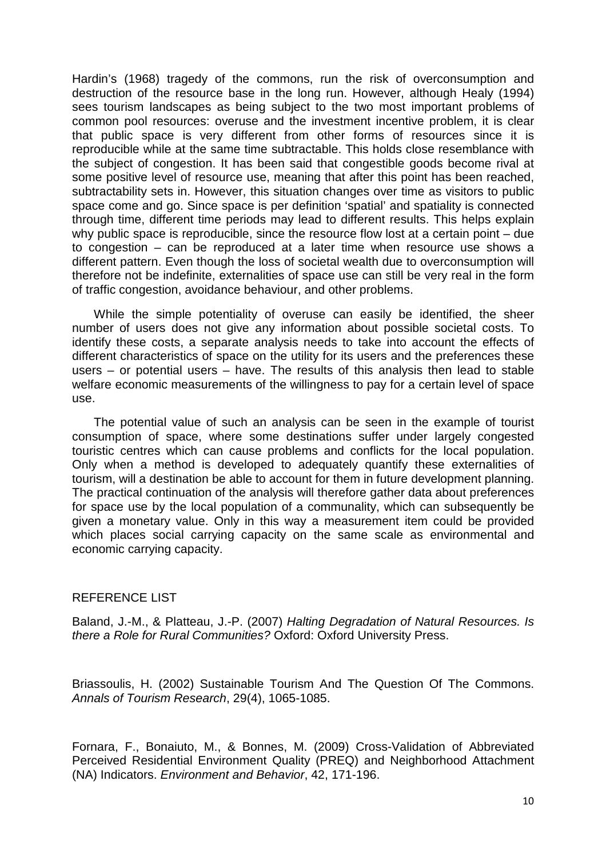Hardin's (1968) tragedy of the commons, run the risk of overconsumption and destruction of the resource base in the long run. However, although Healy (1994) sees tourism landscapes as being subject to the two most important problems of common pool resources: overuse and the investment incentive problem, it is clear that public space is very different from other forms of resources since it is reproducible while at the same time subtractable. This holds close resemblance with the subject of congestion. It has been said that congestible goods become rival at some positive level of resource use, meaning that after this point has been reached, subtractability sets in. However, this situation changes over time as visitors to public space come and go. Since space is per definition 'spatial' and spatiality is connected through time, different time periods may lead to different results. This helps explain why public space is reproducible, since the resource flow lost at a certain point – due to congestion – can be reproduced at a later time when resource use shows a different pattern. Even though the loss of societal wealth due to overconsumption will therefore not be indefinite, externalities of space use can still be very real in the form of traffic congestion, avoidance behaviour, and other problems.

While the simple potentiality of overuse can easily be identified, the sheer number of users does not give any information about possible societal costs. To identify these costs, a separate analysis needs to take into account the effects of different characteristics of space on the utility for its users and the preferences these users – or potential users – have. The results of this analysis then lead to stable welfare economic measurements of the willingness to pay for a certain level of space use.

The potential value of such an analysis can be seen in the example of tourist consumption of space, where some destinations suffer under largely congested touristic centres which can cause problems and conflicts for the local population. Only when a method is developed to adequately quantify these externalities of tourism, will a destination be able to account for them in future development planning. The practical continuation of the analysis will therefore gather data about preferences for space use by the local population of a communality, which can subsequently be given a monetary value. Only in this way a measurement item could be provided which places social carrying capacity on the same scale as environmental and economic carrying capacity.

# REFERENCE LIST

Baland, J.-M., & Platteau, J.-P. (2007) Halting Degradation of Natural Resources. Is there a Role for Rural Communities? Oxford: Oxford University Press.

Briassoulis, H. (2002) Sustainable Tourism And The Question Of The Commons. Annals of Tourism Research, 29(4), 1065-1085.

Fornara, F., Bonaiuto, M., & Bonnes, M. (2009) Cross-Validation of Abbreviated Perceived Residential Environment Quality (PREQ) and Neighborhood Attachment (NA) Indicators. Environment and Behavior, 42, 171-196.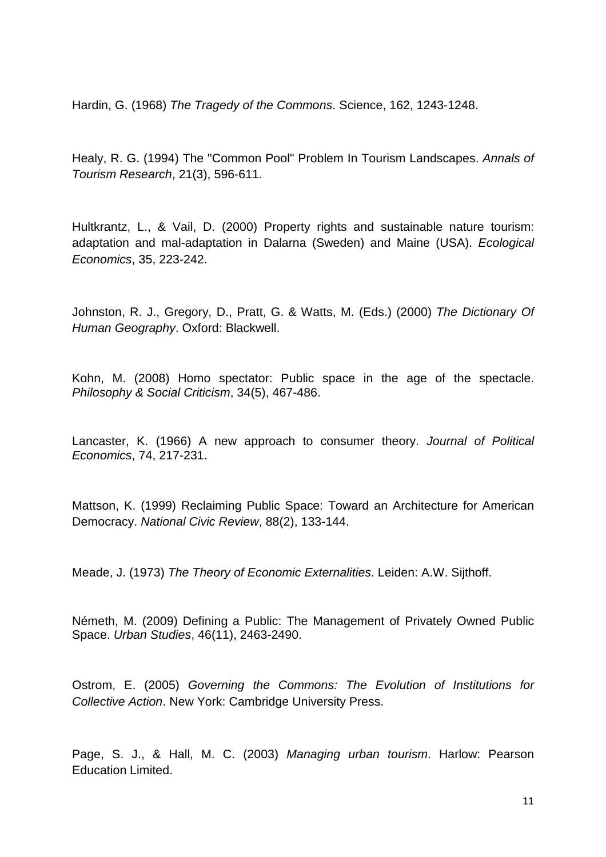Hardin, G. (1968) The Tragedy of the Commons. Science, 162, 1243-1248.

Healy, R. G. (1994) The "Common Pool" Problem In Tourism Landscapes. Annals of Tourism Research, 21(3), 596-611.

Hultkrantz, L., & Vail, D. (2000) Property rights and sustainable nature tourism: adaptation and mal-adaptation in Dalarna (Sweden) and Maine (USA). Ecological Economics, 35, 223-242.

Johnston, R. J., Gregory, D., Pratt, G. & Watts, M. (Eds.) (2000) The Dictionary Of Human Geography. Oxford: Blackwell.

Kohn, M. (2008) Homo spectator: Public space in the age of the spectacle. Philosophy & Social Criticism, 34(5), 467-486.

Lancaster, K. (1966) A new approach to consumer theory. Journal of Political Economics, 74, 217-231.

Mattson, K. (1999) Reclaiming Public Space: Toward an Architecture for American Democracy. National Civic Review, 88(2), 133-144.

Meade, J. (1973) The Theory of Economic Externalities. Leiden: A.W. Sijthoff.

Németh, M. (2009) Defining a Public: The Management of Privately Owned Public Space. Urban Studies, 46(11), 2463-2490.

Ostrom, E. (2005) Governing the Commons: The Evolution of Institutions for Collective Action. New York: Cambridge University Press.

Page, S. J., & Hall, M. C. (2003) Managing urban tourism. Harlow: Pearson Education Limited.